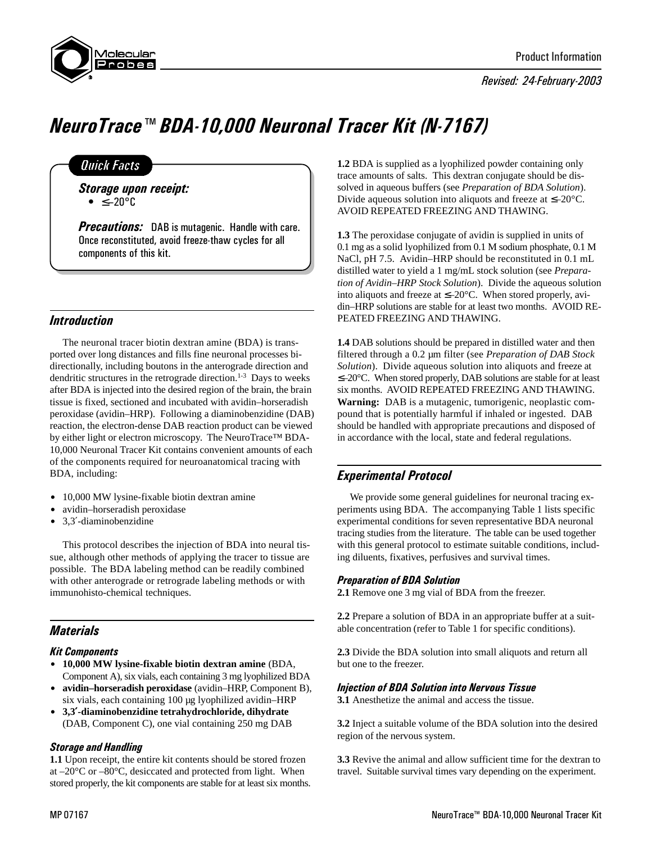

Revised: 24-February-2003



# NeuroTrace™ BDA-10,000 Neuronal Tracer Kit (N-7167)

# **Quick Facts**

Storage upon receipt:  $\bullet$  <  $-20^{\circ}$ C

**Precautions:** DAB is mutagenic. Handle with care. Once reconstituted, avoid freeze-thaw cycles for all components of this kit.

## Introduction

The neuronal tracer biotin dextran amine (BDA) is transported over long distances and fills fine neuronal processes bidirectionally, including boutons in the anterograde direction and dendritic structures in the retrograde direction.<sup>1-3</sup> Days to weeks after BDA is injected into the desired region of the brain, the brain tissue is fixed, sectioned and incubated with avidin–horseradish peroxidase (avidin–HRP). Following a diaminobenzidine (DAB) reaction, the electron-dense DAB reaction product can be viewed by either light or electron microscopy. The NeuroTrace™ BDA-10,000 Neuronal Tracer Kit contains convenient amounts of each of the components required for neuroanatomical tracing with BDA, including:

- 10,000 MW lysine-fixable biotin dextran amine
- avidin–horseradish peroxidase
- 3.3'-diaminobenzidine

This protocol describes the injection of BDA into neural tissue, although other methods of applying the tracer to tissue are possible. The BDA labeling method can be readily combined with other anterograde or retrograde labeling methods or with immunohisto-chemical techniques.

# **Materials**

## Kit Components

- \$ **10,000 MW lysine-fixable biotin dextran amine** (BDA, Component A), six vials, each containing 3 mg lyophilized BDA
- \$ **avidin–horseradish peroxidase** (avidin–HRP, Component B), six vials, each containing 100 µg lyophilized avidin–HRP
- \$ **3,3**′**-diaminobenzidine tetrahydrochloride, dihydrate** (DAB, Component C), one vial containing 250 mg DAB

## Storage and Handling

**1.1** Upon receipt, the entire kit contents should be stored frozen at –20°C or –80°C, desiccated and protected from light. When stored properly, the kit components are stable for at least six months. **1.2** BDA is supplied as a lyophilized powder containing only trace amounts of salts. This dextran conjugate should be dissolved in aqueous buffers (see *Preparation of BDA Solution*). Divide aqueous solution into aliquots and freeze at ≤–20°C. AVOID REPEATED FREEZING AND THAWING.

**1.3** The peroxidase conjugate of avidin is supplied in units of 0.1 mg as a solid lyophilized from 0.1 M sodium phosphate, 0.1 M NaCl, pH 7.5. Avidin–HRP should be reconstituted in 0.1 mL distilled water to yield a 1 mg/mL stock solution (see *Preparation of Avidin–HRP Stock Solution*). Divide the aqueous solution into aliquots and freeze at  $\leq -20^{\circ}$ C. When stored properly, avidin–HRP solutions are stable for at least two months. AVOID RE-PEATED FREEZING AND THAWING.

**1.4** DAB solutions should be prepared in distilled water and then filtered through a 0.2 µm filter (see *Preparation of DAB Stock Solution*). Divide aqueous solution into aliquots and freeze at ≤–20°C. When stored properly, DAB solutions are stable for at least six months. AVOID REPEATED FREEZING AND THAWING. **Warning:** DAB is a mutagenic, tumorigenic, neoplastic compound that is potentially harmful if inhaled or ingested. DAB should be handled with appropriate precautions and disposed of in accordance with the local, state and federal regulations.

# Experimental Protocol

We provide some general guidelines for neuronal tracing experiments using BDA. The accompanying Table 1 lists specific experimental conditions for seven representative BDA neuronal tracing studies from the literature. The table can be used together with this general protocol to estimate suitable conditions, including diluents, fixatives, perfusives and survival times.

## Preparation of BDA Solution

**2.1** Remove one 3 mg vial of BDA from the freezer.

**2.2** Prepare a solution of BDA in an appropriate buffer at a suitable concentration (refer to Table 1 for specific conditions).

**2.3** Divide the BDA solution into small aliquots and return all but one to the freezer.

## Injection of BDA Solution into Nervous Tissue

**3.1** Anesthetize the animal and access the tissue.

**3.2** Inject a suitable volume of the BDA solution into the desired region of the nervous system.

**3.3** Revive the animal and allow sufficient time for the dextran to travel. Suitable survival times vary depending on the experiment.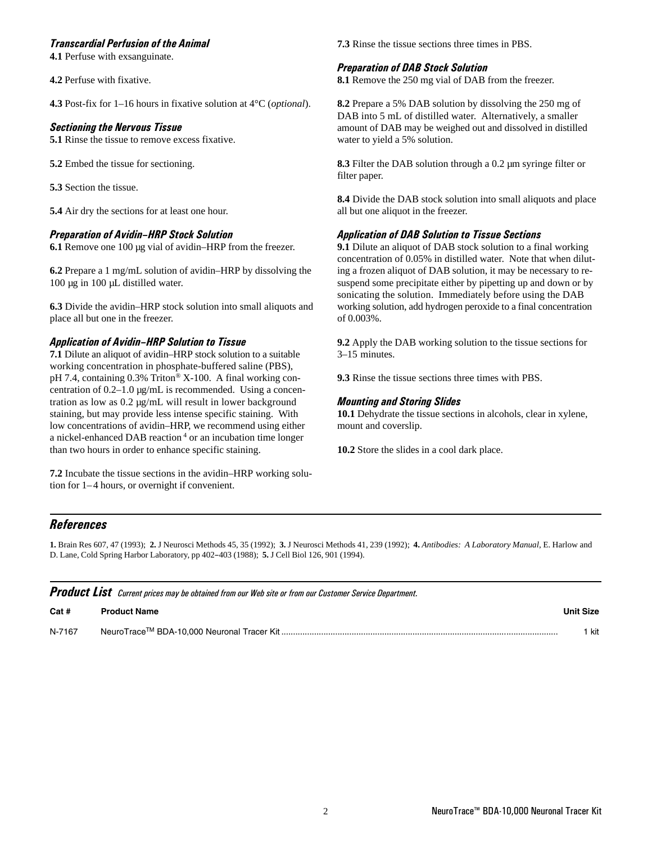#### Transcardial Perfusion of the Animal

**4.1** Perfuse with exsanguinate.

**4.2** Perfuse with fixative.

**4.3** Post-fix for 1–16 hours in fixative solution at 4°C (*optional*).

#### Sectioning the Nervous Tissue

**5.1** Rinse the tissue to remove excess fixative.

**5.2** Embed the tissue for sectioning.

**5.3** Section the tissue.

**5.4** Air dry the sections for at least one hour.

#### **Preparation of Avidin-HRP Stock Solution**

**6.1** Remove one 100 µg vial of avidin–HRP from the freezer.

**6.2** Prepare a 1 mg/mL solution of avidin–HRP by dissolving the 100 µg in 100 µL distilled water.

**6.3** Divide the avidin–HRP stock solution into small aliquots and place all but one in the freezer.

#### **Application of Avidin-HRP Solution to Tissue**

**7.1** Dilute an aliquot of avidin–HRP stock solution to a suitable working concentration in phosphate-buffered saline (PBS), pH 7.4, containing 0.3% Triton® X-100. A final working concentration of 0.2–1.0 µg/mL is recommended. Using a concentration as low as 0.2 µg/mL will result in lower background staining, but may provide less intense specific staining. With low concentrations of avidin–HRP, we recommend using either a nickel-enhanced DAB reaction<sup>4</sup> or an incubation time longer than two hours in order to enhance specific staining.

**7.2** Incubate the tissue sections in the avidin–HRP working solution for  $1-4$  hours, or overnight if convenient.

**7.3** Rinse the tissue sections three times in PBS.

#### Preparation of DAB Stock Solution

**8.1** Remove the 250 mg vial of DAB from the freezer.

**8.2** Prepare a 5% DAB solution by dissolving the 250 mg of DAB into 5 mL of distilled water. Alternatively, a smaller amount of DAB may be weighed out and dissolved in distilled water to yield a 5% solution.

**8.3** Filter the DAB solution through a 0.2 µm syringe filter or filter paper.

**8.4** Divide the DAB stock solution into small aliquots and place all but one aliquot in the freezer.

#### Application of DAB Solution to Tissue Sections

**9.1** Dilute an aliquot of DAB stock solution to a final working concentration of 0.05% in distilled water. Note that when diluting a frozen aliquot of DAB solution, it may be necessary to resuspend some precipitate either by pipetting up and down or by sonicating the solution. Immediately before using the DAB working solution, add hydrogen peroxide to a final concentration of 0.003%.

**9.2** Apply the DAB working solution to the tissue sections for 3–15 minutes.

**9.3** Rinse the tissue sections three times with PBS.

## Mounting and Storing Slides

**10.1** Dehydrate the tissue sections in alcohols, clear in xylene, mount and coverslip.

**10.2** Store the slides in a cool dark place.

## **References**

**1.** Brain Res 607, 47 (1993); **2.** J Neurosci Methods 45, 35 (1992); **3.** J Neurosci Methods 41, 239 (1992); **4.** *Antibodies: A Laboratory Manual*, E. Harlow and D. Lane, Cold Spring Harbor Laboratory, pp 402-403 (1988); **5.** J Cell Biol 126, 901 (1994).

|        | <b>Product List</b> Current prices may be obtained from our Web site or from our Customer Service Department. |                  |
|--------|---------------------------------------------------------------------------------------------------------------|------------------|
| Cat#   | <b>Product Name</b>                                                                                           | <b>Unit Size</b> |
| N-7167 |                                                                                                               | ∣ kit            |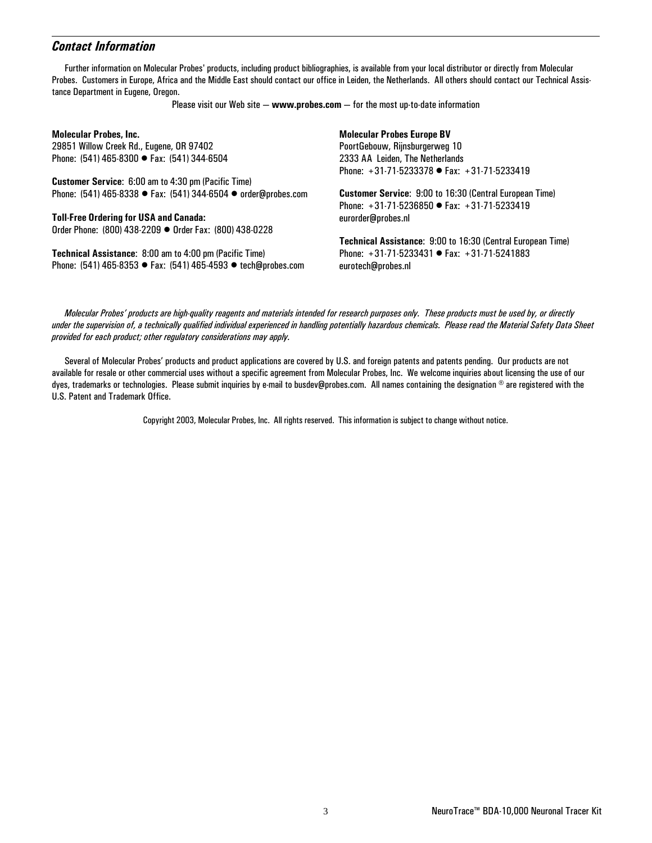## Contact Information

Further information on Molecular Probes' products, including product bibliographies, is available from your local distributor or directly from Molecular Probes. Customers in Europe, Africa and the Middle East should contact our office in Leiden, the Netherlands. All others should contact our Technical Assistance Department in Eugene, Oregon.

Please visit our Web site  $-$  www.probes.com  $-$  for the most up-to-date information

| <b>Molecular Probes, Inc.</b>                                  | <b>Molecular Probes Europe BV</b>                              |
|----------------------------------------------------------------|----------------------------------------------------------------|
| 29851 Willow Creek Rd., Eugene, OR 97402                       | PoortGebouw, Rijnsburgerweg 10                                 |
| Phone: (541) 465-8300 ● Fax: (541) 344-6504                    | 2333 AA Leiden, The Netherlands                                |
|                                                                | Phone: $+31.71.5233378$ • Fax: $+31.71.5233419$                |
| Customer Service: 6:00 am to 4:30 pm (Pacific Time)            |                                                                |
| Phone: (541) 465-8338 ● Fax: (541) 344-6504 ● order@probes.com | <b>Customer Service: 9:00 to 16:30 (Central European Time)</b> |
|                                                                | Phone: $+31.71.5236850$ • Fax: $+31.71.5233419$                |
| <b>Toll-Free Ordering for USA and Canada:</b>                  | eurorder@probes.nl                                             |
| Order Phone: (800) 438-2209 ● Order Fax: (800) 438-0228        |                                                                |
|                                                                | Technical Assistance: 9:00 to 16:30 (Central European Time)    |
| <b>Technical Assistance: 8:00 am to 4:00 pm (Pacific Time)</b> | Phone: $+31.71.5233431$ • Fax: $+31.71.5241883$                |
| Phone: (541) 465-8353 ● Fax: (541) 465-4593 ● tech@probes.com  | eurotech@probes.nl                                             |
|                                                                |                                                                |

Molecular Probesí products are high-quality reagents and materials intended for research purposes only. These products must be used by, or directly under the supervision of, a technically qualified individual experienced in handling potentially hazardous chemicals. Please read the Material Safety Data Sheet provided for each product; other regulatory considerations may apply.

Several of Molecular Probesí products and product applications are covered by U.S. and foreign patents and patents pending. Our products are not available for resale or other commercial uses without a specific agreement from Molecular Probes, Inc. We welcome inquiries about licensing the use of our dyes, trademarks or technologies. Please submit inquiries by e-mail to busdev@probes.com. All names containing the designation  $\textcircled{\,}$  are registered with the U.S. Patent and Trademark Office.

Copyright 2003, Molecular Probes, Inc. All rights reserved. This information is subject to change without notice.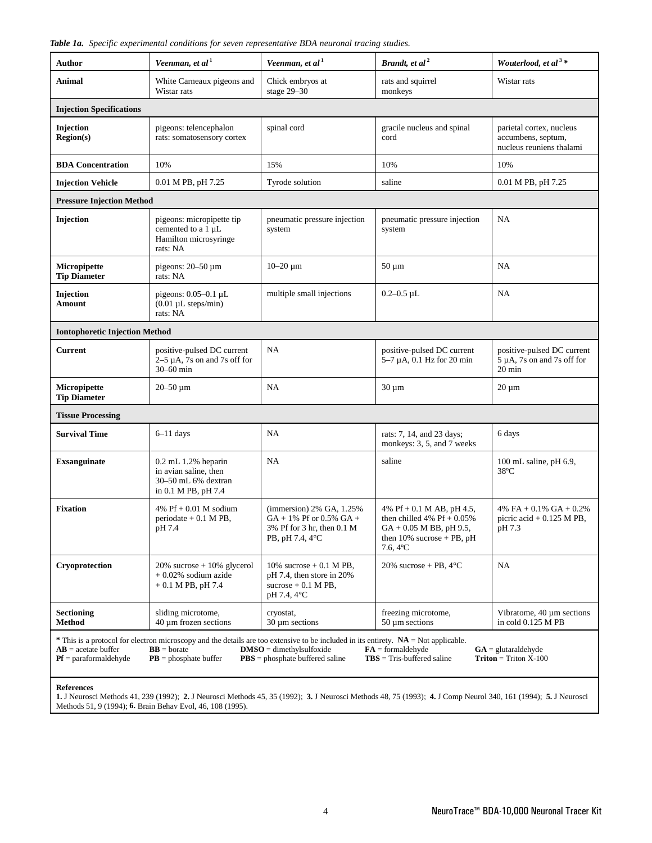|  |  |  |  |  | Table 1a. Specific experimental conditions for seven representative BDA neuronal tracing studies. |  |  |  |  |
|--|--|--|--|--|---------------------------------------------------------------------------------------------------|--|--|--|--|
|--|--|--|--|--|---------------------------------------------------------------------------------------------------|--|--|--|--|

| <b>Author</b>                                                                                                                                                                                                                                                                                                                                                                                                      | Veenman, et al <sup>1</sup>                                                                    | Veenman, et al <sup>1</sup>                                                                               | Brandt, et al <sup>2</sup>                                                                                                                         | Wouterlood, et al <sup>3*</sup>                                                    |  |  |
|--------------------------------------------------------------------------------------------------------------------------------------------------------------------------------------------------------------------------------------------------------------------------------------------------------------------------------------------------------------------------------------------------------------------|------------------------------------------------------------------------------------------------|-----------------------------------------------------------------------------------------------------------|----------------------------------------------------------------------------------------------------------------------------------------------------|------------------------------------------------------------------------------------|--|--|
| Animal                                                                                                                                                                                                                                                                                                                                                                                                             | White Carneaux pigeons and<br>Wistar rats                                                      | Chick embryos at<br>stage 29-30                                                                           | rats and squirrel<br>monkeys                                                                                                                       | Wistar rats                                                                        |  |  |
| <b>Injection Specifications</b>                                                                                                                                                                                                                                                                                                                                                                                    |                                                                                                |                                                                                                           |                                                                                                                                                    |                                                                                    |  |  |
| Injection<br><b>Region(s)</b>                                                                                                                                                                                                                                                                                                                                                                                      | pigeons: telencephalon<br>rats: somatosensory cortex                                           | spinal cord                                                                                               | gracile nucleus and spinal<br>cord                                                                                                                 | parietal cortex, nucleus<br>accumbens, septum,<br>nucleus reuniens thalami         |  |  |
| <b>BDA</b> Concentration                                                                                                                                                                                                                                                                                                                                                                                           | 10%                                                                                            | 15%                                                                                                       | 10%                                                                                                                                                | 10%                                                                                |  |  |
| <b>Injection Vehicle</b>                                                                                                                                                                                                                                                                                                                                                                                           | 0.01 M PB, pH 7.25                                                                             | Tyrode solution                                                                                           | saline                                                                                                                                             | 0.01 M PB, pH 7.25                                                                 |  |  |
| <b>Pressure Injection Method</b>                                                                                                                                                                                                                                                                                                                                                                                   |                                                                                                |                                                                                                           |                                                                                                                                                    |                                                                                    |  |  |
| Injection                                                                                                                                                                                                                                                                                                                                                                                                          | pigeons: micropipette tip<br>cemented to a 1 µL<br>Hamilton microsyringe<br>rats: NA           | pneumatic pressure injection<br>system                                                                    | pneumatic pressure injection<br>system                                                                                                             | NA                                                                                 |  |  |
| Micropipette<br><b>Tip Diameter</b>                                                                                                                                                                                                                                                                                                                                                                                | pigeons: $20-50 \mu m$<br>rats: NA                                                             | $10 - 20 \mu m$                                                                                           | $50 \mu m$                                                                                                                                         | NA                                                                                 |  |  |
| Injection<br>Amount                                                                                                                                                                                                                                                                                                                                                                                                | pigeons: $0.05-0.1$ µL<br>$(0.01 \mu L \text{ steps/min})$<br>rats: NA                         | multiple small injections                                                                                 | $0.2 - 0.5 \mu L$                                                                                                                                  | NA                                                                                 |  |  |
| <b>Iontophoretic Injection Method</b>                                                                                                                                                                                                                                                                                                                                                                              |                                                                                                |                                                                                                           |                                                                                                                                                    |                                                                                    |  |  |
| <b>Current</b>                                                                                                                                                                                                                                                                                                                                                                                                     | positive-pulsed DC current<br>$2-5 \mu$ A, 7s on and 7s off for<br>30-60 min                   | NA                                                                                                        | positive-pulsed DC current<br>$5-7 \mu$ A, 0.1 Hz for 20 min                                                                                       | positive-pulsed DC current<br>$5 \mu A$ , 7s on and 7s off for<br>$20 \text{ min}$ |  |  |
| Micropipette<br><b>Tip Diameter</b>                                                                                                                                                                                                                                                                                                                                                                                | $20 - 50 \mu m$                                                                                | NA                                                                                                        | $30 \mu m$                                                                                                                                         | $20 \mu m$                                                                         |  |  |
| <b>Tissue Processing</b>                                                                                                                                                                                                                                                                                                                                                                                           |                                                                                                |                                                                                                           |                                                                                                                                                    |                                                                                    |  |  |
| <b>Survival Time</b>                                                                                                                                                                                                                                                                                                                                                                                               | $6-11$ days                                                                                    | NA                                                                                                        | rats: 7, 14, and 23 days;<br>monkeys: 3, 5, and 7 weeks                                                                                            | 6 days                                                                             |  |  |
| <b>Exsanguinate</b>                                                                                                                                                                                                                                                                                                                                                                                                | $0.2$ mL $1.2%$ heparin<br>in avian saline, then<br>30-50 mL 6% dextran<br>in 0.1 M PB, pH 7.4 | NA                                                                                                        | saline                                                                                                                                             | 100 mL saline, pH 6.9,<br>$38^{\circ}$ C                                           |  |  |
| <b>Fixation</b>                                                                                                                                                                                                                                                                                                                                                                                                    | 4% Pf + $0.01$ M sodium<br>periodate $+$ 0.1 M PB,<br>pH 7.4                                   | (immersion) 2% GA, 1.25%<br>$GA + 1\%$ Pf or 0.5% $GA +$<br>3% Pf for 3 hr, then 0.1 M<br>PB, pH 7.4, 4°C | 4% Pf + 0.1 M AB, pH 4.5,<br>then chilled 4% Pf + $0.05\%$<br>$GA + 0.05 M BB$ , pH 9.5,<br>then $10\%$ sucrose + PB, pH<br>$7.6,4$ <sup>o</sup> C | 4% FA + $0.1\%$ GA + $0.2\%$<br>picric acid $+$ 0.125 M PB,<br>pH 7.3              |  |  |
| Cryoprotection                                                                                                                                                                                                                                                                                                                                                                                                     | $20\%$ sucrose + 10% glycerol<br>$+0.02\%$ sodium azide<br>$+0.1$ M PB, pH 7.4                 | 10% sucrose $+$ 0.1 M PB,<br>$pH$ 7.4, then store in 20%<br>sucrose $+$ 0.1 M PB,<br>pH 7.4, 4°C          | 20% sucrose + PB, $4^{\circ}$ C                                                                                                                    | NA                                                                                 |  |  |
| <b>Sectioning</b><br><b>Method</b>                                                                                                                                                                                                                                                                                                                                                                                 | sliding microtome,<br>$40 \mu m$ frozen sections                                               | cryostat,<br>$30 \mu m$ sections                                                                          | freezing microtome,<br>$50 \mu m$ sections                                                                                                         | Vibratome, 40 µm sections<br>in cold 0.125 M PB                                    |  |  |
| * This is a protocol for electron microscopy and the details are too extensive to be included in its entirety. NA = Not applicable.<br>$AB$ = acetate buffer<br>$BB =$ borate<br>$DMSO =$ dimethylsulfoxide<br>$FA = formaldehyde$<br>$GA = glutaraldehyde$<br>$Triton = Triton X-100$<br>$Pf =$ paraformaldehyde<br>$PB = phosphate buffer$<br>$TBS = Tris$ -buffered saline<br>$PBS = phosphate buffered saline$ |                                                                                                |                                                                                                           |                                                                                                                                                    |                                                                                    |  |  |

#### **References**

**1.** J Neurosci Methods 41, 239 (1992); **2.** J Neurosci Methods 45, 35 (1992); **3.** J Neurosci Methods 48, 75 (1993); **4.** J Comp Neurol 340, 161 (1994); **5.** J Neurosci Methods 51, 9 (1994); **6.** Brain Behav Evol, 46, 108 (1995).